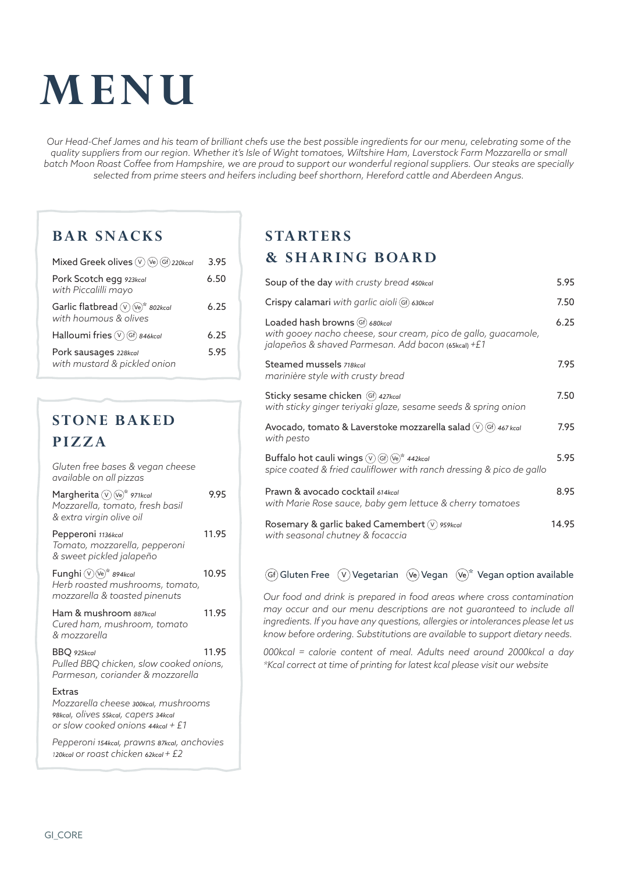# **MENU**

*Our Head-Chef James and his team of brilliant chefs use the best possible ingredients for our menu, celebrating some of the quality suppliers from our region. Whether it's Isle of Wight tomatoes, Wiltshire Ham, Laverstock Farm Mozzarella or small batch Moon Roast Coffee from Hampshire, we are proud to support our wonderful regional suppliers. Our steaks are specially selected from prime steers and heifers including beef shorthorn, Hereford cattle and Aberdeen Angus.*

#### **BAR SNACKS**

| Mixed Greek olives (V) (Ve) Gf) 220kcal                              | 3.95 |
|----------------------------------------------------------------------|------|
| Pork Scotch egg 923kcal<br>with Piccalilli mayo                      | 6.50 |
| Garlic flatbread $(\vee)(\vee e)^*$ 802kcal<br>with houmous & olives | 6 25 |
| Halloumi fries (V) Gf) 846kcal                                       | 6.25 |
| Pork sausages 228kcal<br>with mustard & pickled onion                | 5.95 |

# **STONE BAKED PIZZA**

| Gluten free bases & vegan cheese<br>available on all pizzas                                                                           |       |
|---------------------------------------------------------------------------------------------------------------------------------------|-------|
| Margherita V Ve <sup>*</sup> 971kcal<br>Mozzarella, tomato, fresh basil<br>& extra virgin olive oil                                   | 995   |
| Pepperoni 1136kcal<br>Tomato, mozzarella, pepperoni<br>& sweet pickled jalapeño                                                       | 11.95 |
| Funghi $(\mathcal{V})(\mathcal{V}_e)^*$ 894kcal<br>Herb roasted mushrooms, tomato,<br>mozzarella & toasted pinenuts                   | 10.95 |
| Ham & mushroom 887kcal<br>Cured ham, mushroom, tomato<br>& mozzarella                                                                 | 11.95 |
| BBQ 925kcal<br>Pulled BBQ chicken, slow cooked onions,<br>Parmesan, coriander & mozzarella                                            | 11.95 |
| <b>Extras</b><br>Mozzarella cheese 300kcal, mushrooms<br>98kcal, Olives 55kcal, Capers 34kcal<br>or slow cooked onions $44$ kcal + £1 |       |

*Pepperoni 154kcal, prawns 87kcal, anchovies <sup>1</sup>20kcal or roast chicken 62kcal + £2*

### **STARTERS & SHARING BOARD**

| Soup of the day with crusty bread 450kcal                                                                                                                | 5.95  |
|----------------------------------------------------------------------------------------------------------------------------------------------------------|-------|
| Crispy calamari with garlic aioli (Gf) 630kcal                                                                                                           | 7.50  |
| Loaded hash browns (Gf) 680kcal<br>with gooey nacho cheese, sour cream, pico de gallo, guacamole,<br>jalapeños & shaved Parmesan. Add bacon (65kcal) +£1 | 6.25  |
| Steamed mussels 718kcal<br>marinière style with crusty bread                                                                                             | 7.95  |
| Sticky sesame chicken (Gf) 427kcal<br>with sticky ginger teriyaki glaze, sesame seeds & spring onion                                                     | 7.50  |
| Avocado, tomato & Laverstoke mozzarella salad $(v)$ (Gf) 467 kcal<br>with pesto                                                                          | 7.95  |
| Buffalo hot cauli wings $\circledV$ Gf) $\circledR^*$ 442kcal<br>spice coated & fried cauliflower with ranch dressing & pico de gallo                    | 5.95  |
| Prawn & avocado cocktail 614kcal<br>with Marie Rose sauce, baby gem lettuce & cherry tomatoes                                                            | 8.95  |
| Rosemary & garlic baked Camembert (V) 959kcal<br>with seasonal chutney & focaccia                                                                        | 14.95 |

#### $(G)$  Gluten Free  $(\overline{V})$  Vegetarian  $(\overline{V}e)$  Vegan  $(\overline{V}e)^*$  Vegan option available

*Our food and drink is prepared in food areas where cross contamination may occur and our menu descriptions are not guaranteed to include all ingredients. If you have any questions, allergies or intolerances please let us know before ordering. Substitutions are available to support dietary needs.*

*000kcal = calorie content of meal. Adults need around 2000kcal a day \*Kcal correct at time of printing for latest kcal please visit our website*